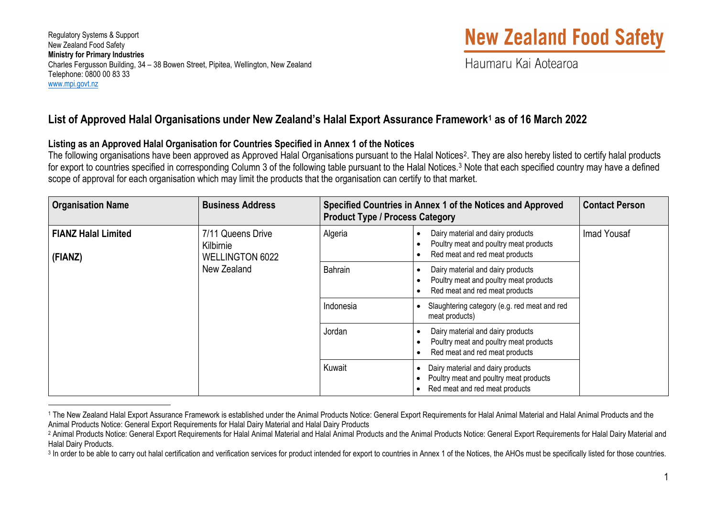Regulatory Systems & Support New Zealand Food Safety **Ministry for Primary Industries** Charles Fergusson Building, 34 – 38 Bowen Street, Pipitea, Wellington, New Zealand Telephone: 0800 00 83 33 [www.mpi.govt.nz](http://www.mpi.govt.nz/) 

# <span id="page-0-2"></span><span id="page-0-1"></span><span id="page-0-0"></span>**New Zealand Food Safety**

Haumaru Kai Aotearoa

### **List of Approved Halal Organisations under New Zealand's Halal Export Assurance Framewor[k1](#page-0-0) as of 16 March 2022**

#### **Listing as an Approved Halal Organisation for Countries Specified in Annex 1 of the Notices**

The following organisations have been approved as Approved Halal Organisations pursuant to the Halal Notices<sup>[2](#page-0-1)</sup>. They are also hereby listed to certify halal products for export to countries specified in corresponding Column [3](#page-0-2) of the following table pursuant to the Halal Notices.<sup>3</sup> Note that each specified country may have a defined scope of approval for each organisation which may limit the products that the organisation can certify to that market.

| <b>Organisation Name</b>              | <b>Business Address</b>                                                 | Specified Countries in Annex 1 of the Notices and Approved<br><b>Product Type / Process Category</b> |                                                                                                                            | <b>Contact Person</b> |
|---------------------------------------|-------------------------------------------------------------------------|------------------------------------------------------------------------------------------------------|----------------------------------------------------------------------------------------------------------------------------|-----------------------|
| <b>FIANZ Halal Limited</b><br>(FIANZ) | 7/11 Queens Drive<br>Kilbirnie<br><b>WELLINGTON 6022</b><br>New Zealand | Algeria                                                                                              | Dairy material and dairy products<br>Poultry meat and poultry meat products<br>Red meat and red meat products<br>$\bullet$ | Imad Yousaf           |
|                                       |                                                                         | <b>Bahrain</b>                                                                                       | Dairy material and dairy products<br>٠<br>Poultry meat and poultry meat products<br>Red meat and red meat products         |                       |
|                                       |                                                                         | Indonesia                                                                                            | Slaughtering category (e.g. red meat and red<br>meat products)                                                             |                       |
|                                       |                                                                         | Jordan                                                                                               | Dairy material and dairy products<br>٠<br>Poultry meat and poultry meat products<br>Red meat and red meat products         |                       |
|                                       |                                                                         | Kuwait                                                                                               | Dairy material and dairy products<br>Poultry meat and poultry meat products<br>Red meat and red meat products              |                       |

<sup>&</sup>lt;sup>1</sup> The New Zealand Halal Export Assurance Framework is established under the Animal Products Notice: General Export Requirements for Halal Animal Material and Halal Animal Products and the Animal Products Notice: General Export Requirements for Halal Dairy Material and Halal Dairy Products

<sup>&</sup>lt;sup>2</sup> Animal Products Notice: General Export Requirements for Halal Animal Material and Halal Animal Products and the Animal Products Notice: General Export Requirements for Halal Dairy Material and Halal Dairy Products.

<sup>&</sup>lt;sup>3</sup> In order to be able to carry out halal certification and verification services for product intended for export to countries in Annex 1 of the Notices, the AHOs must be specifically listed for those countries.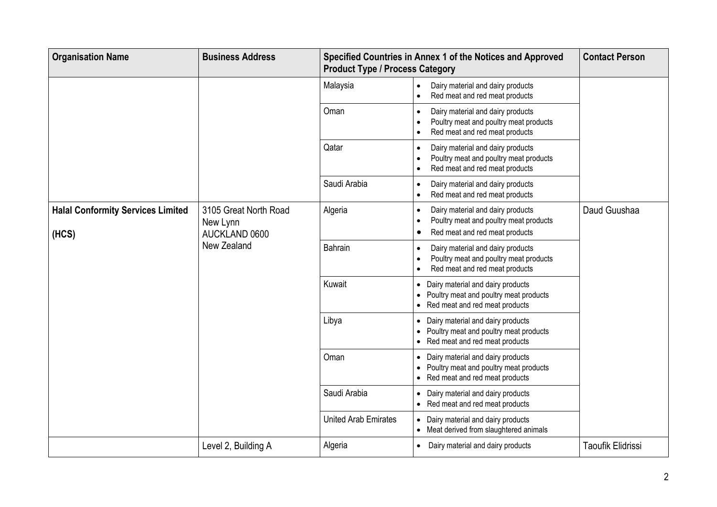| <b>Organisation Name</b>                          | <b>Business Address</b>                            | Specified Countries in Annex 1 of the Notices and Approved<br><b>Product Type / Process Category</b> |                                                                                                                                                      | <b>Contact Person</b> |
|---------------------------------------------------|----------------------------------------------------|------------------------------------------------------------------------------------------------------|------------------------------------------------------------------------------------------------------------------------------------------------------|-----------------------|
|                                                   |                                                    | Malaysia                                                                                             | Dairy material and dairy products<br>$\bullet$<br>Red meat and red meat products<br>$\bullet$                                                        |                       |
|                                                   |                                                    | Oman                                                                                                 | Dairy material and dairy products<br>$\bullet$<br>Poultry meat and poultry meat products<br>$\bullet$<br>Red meat and red meat products<br>$\bullet$ |                       |
|                                                   |                                                    | Qatar                                                                                                | Dairy material and dairy products<br>$\bullet$<br>Poultry meat and poultry meat products<br>$\bullet$<br>Red meat and red meat products<br>$\bullet$ |                       |
|                                                   |                                                    | Saudi Arabia                                                                                         | Dairy material and dairy products<br>$\bullet$<br>Red meat and red meat products<br>$\bullet$                                                        |                       |
| <b>Halal Conformity Services Limited</b><br>(HCS) | 3105 Great North Road<br>New Lynn<br>AUCKLAND 0600 | Algeria                                                                                              | Dairy material and dairy products<br>$\bullet$<br>Poultry meat and poultry meat products<br>$\bullet$<br>Red meat and red meat products<br>$\bullet$ | Daud Guushaa          |
|                                                   | New Zealand                                        | <b>Bahrain</b>                                                                                       | Dairy material and dairy products<br>$\bullet$<br>Poultry meat and poultry meat products<br>$\bullet$<br>Red meat and red meat products<br>$\bullet$ |                       |
|                                                   |                                                    | Kuwait                                                                                               | Dairy material and dairy products<br>$\bullet$<br>Poultry meat and poultry meat products<br>$\bullet$<br>• Red meat and red meat products            |                       |
|                                                   |                                                    | Libya                                                                                                | Dairy material and dairy products<br>$\bullet$<br>Poultry meat and poultry meat products<br>$\bullet$<br>Red meat and red meat products<br>$\bullet$ |                       |
|                                                   |                                                    | Oman                                                                                                 | Dairy material and dairy products<br>$\bullet$<br>Poultry meat and poultry meat products<br>$\bullet$<br>• Red meat and red meat products            |                       |
|                                                   |                                                    | Saudi Arabia                                                                                         | Dairy material and dairy products<br>$\bullet$<br>• Red meat and red meat products                                                                   |                       |
|                                                   |                                                    | <b>United Arab Emirates</b>                                                                          | • Dairy material and dairy products<br>• Meat derived from slaughtered animals                                                                       |                       |
|                                                   | Level 2, Building A                                | Algeria                                                                                              | Dairy material and dairy products<br>$\bullet$                                                                                                       | Taoufik Elidrissi     |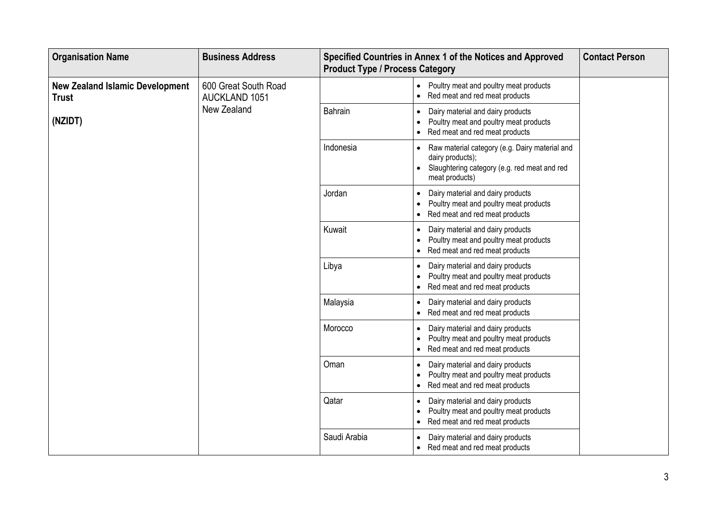| <b>Organisation Name</b>                               | <b>Business Address</b>                      | Specified Countries in Annex 1 of the Notices and Approved<br><b>Product Type / Process Category</b> |                                                                                                                                                      | <b>Contact Person</b> |
|--------------------------------------------------------|----------------------------------------------|------------------------------------------------------------------------------------------------------|------------------------------------------------------------------------------------------------------------------------------------------------------|-----------------------|
| <b>New Zealand Islamic Development</b><br><b>Trust</b> | 600 Great South Road<br><b>AUCKLAND 1051</b> |                                                                                                      | Poultry meat and poultry meat products<br>$\bullet$<br>Red meat and red meat products<br>$\bullet$                                                   |                       |
| (NZIDT)                                                | New Zealand                                  | <b>Bahrain</b>                                                                                       | Dairy material and dairy products<br>$\bullet$<br>Poultry meat and poultry meat products<br>$\bullet$<br>Red meat and red meat products<br>$\bullet$ |                       |
|                                                        |                                              | Indonesia                                                                                            | Raw material category (e.g. Dairy material and<br>$\bullet$<br>dairy products);<br>Slaughtering category (e.g. red meat and red<br>meat products)    |                       |
|                                                        |                                              | Jordan                                                                                               | Dairy material and dairy products<br>$\bullet$<br>Poultry meat and poultry meat products<br>$\bullet$<br>• Red meat and red meat products            |                       |
|                                                        |                                              | Kuwait                                                                                               | Dairy material and dairy products<br>$\bullet$<br>Poultry meat and poultry meat products<br>$\bullet$<br>Red meat and red meat products              |                       |
|                                                        |                                              | Libya                                                                                                | Dairy material and dairy products<br>$\bullet$<br>Poultry meat and poultry meat products<br>$\bullet$<br>Red meat and red meat products<br>$\bullet$ |                       |
|                                                        |                                              | Malaysia                                                                                             | Dairy material and dairy products<br>$\bullet$<br>• Red meat and red meat products                                                                   |                       |
|                                                        |                                              | Morocco                                                                                              | Dairy material and dairy products<br>$\bullet$<br>Poultry meat and poultry meat products<br>$\bullet$<br>Red meat and red meat products<br>$\bullet$ |                       |
|                                                        |                                              | Oman                                                                                                 | Dairy material and dairy products<br>$\bullet$<br>Poultry meat and poultry meat products<br>$\bullet$<br>Red meat and red meat products<br>$\bullet$ |                       |
|                                                        |                                              | Qatar                                                                                                | Dairy material and dairy products<br>$\bullet$<br>Poultry meat and poultry meat products<br>$\bullet$<br>• Red meat and red meat products            |                       |
|                                                        |                                              | Saudi Arabia                                                                                         | Dairy material and dairy products<br>$\bullet$<br>• Red meat and red meat products                                                                   |                       |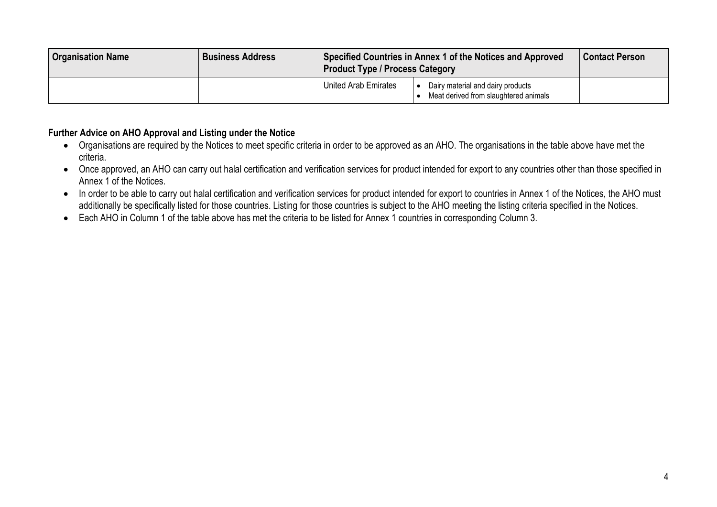| <b>Organisation Name</b> | <b>Business Address</b> | Specified Countries in Annex 1 of the Notices and Approved<br><b>Product Type / Process Category</b> |                                                                            | <b>Contact Person</b> |
|--------------------------|-------------------------|------------------------------------------------------------------------------------------------------|----------------------------------------------------------------------------|-----------------------|
|                          |                         | United Arab Emirates                                                                                 | Dairy material and dairy products<br>Meat derived from slaughtered animals |                       |

#### **Further Advice on AHO Approval and Listing under the Notice**

- Organisations are required by the Notices to meet specific criteria in order to be approved as an AHO. The organisations in the table above have met the criteria.
- Once approved, an AHO can carry out halal certification and verification services for product intended for export to any countries other than those specified in Annex 1 of the Notices.
- In order to be able to carry out halal certification and verification services for product intended for export to countries in Annex 1 of the Notices, the AHO must additionally be specifically listed for those countries. Listing for those countries is subject to the AHO meeting the listing criteria specified in the Notices.
- Each AHO in Column 1 of the table above has met the criteria to be listed for Annex 1 countries in corresponding Column 3.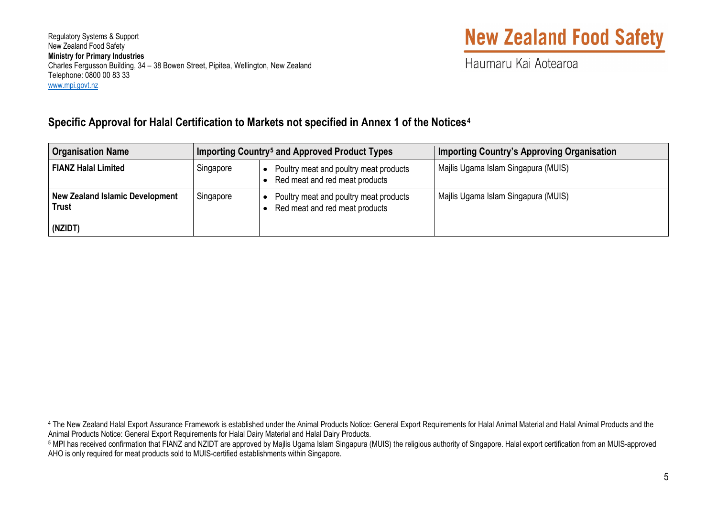Regulatory Systems & Support New Zealand Food Safety **Ministry for Primary Industries** Charles Fergusson Building, 34 – 38 Bowen Street, Pipitea, Wellington, New Zealand Telephone: 0800 00 83 33 [www.mpi.govt.nz](http://www.mpi.govt.nz/) 

## <span id="page-4-1"></span><span id="page-4-0"></span>**New Zealand Food Safety**

Haumaru Kai Aotearoa

### **Specific Approval for Halal Certification to Markets not specified in Annex 1 of the Notices[4](#page-4-0)**

| <b>Organisation Name</b>                                          | Importing Country <sup>5</sup> and Approved Product Types |                                                                          | <b>Importing Country's Approving Organisation</b> |
|-------------------------------------------------------------------|-----------------------------------------------------------|--------------------------------------------------------------------------|---------------------------------------------------|
| <b>FIANZ Halal Limited</b>                                        | Singapore                                                 | Poultry meat and poultry meat products<br>Red meat and red meat products | Majlis Ugama Islam Singapura (MUIS)               |
| <b>New Zealand Islamic Development</b><br><b>Trust</b><br>(NZIDT) | Singapore                                                 | Poultry meat and poultry meat products<br>Red meat and red meat products | Majlis Ugama Islam Singapura (MUIS)               |

<sup>&</sup>lt;sup>4</sup> The New Zealand Halal Export Assurance Framework is established under the Animal Products Notice: General Export Requirements for Halal Animal Material and Halal Animal Products and the<br>Animal Products Notice: General

<sup>5</sup> MPI has received confirmation that FIANZ and NZIDT are approved by Majlis Ugama Islam Singapura (MUIS) the religious authority of Singapore. Halal export certification from an MUIS-approved AHO is only required for meat products sold to MUIS-certified establishments within Singapore.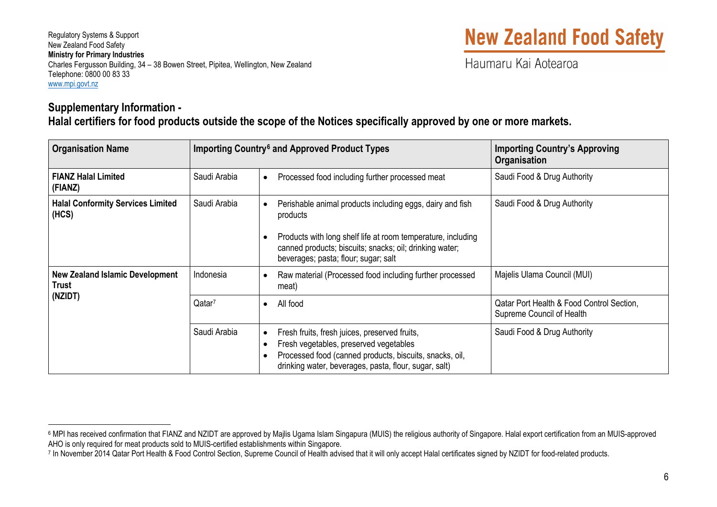## <span id="page-5-1"></span><span id="page-5-0"></span>**New Zealand Food Safety**

Haumaru Kai Aotearoa

#### **Supplementary Information - Halal certifiers for food products outside the scope of the Notices specifically approved by one or more markets.**

| <b>Organisation Name</b>                                          |                    | Importing Country <sup>6</sup> and Approved Product Types                                                                                                                                                                                             | <b>Importing Country's Approving</b><br>Organisation                   |
|-------------------------------------------------------------------|--------------------|-------------------------------------------------------------------------------------------------------------------------------------------------------------------------------------------------------------------------------------------------------|------------------------------------------------------------------------|
| <b>FIANZ Halal Limited</b><br>(FIANZ)                             | Saudi Arabia       | Processed food including further processed meat<br>$\bullet$                                                                                                                                                                                          | Saudi Food & Drug Authority                                            |
| <b>Halal Conformity Services Limited</b><br>(HCS)                 | Saudi Arabia       | Perishable animal products including eggs, dairy and fish<br>$\bullet$<br>products<br>Products with long shelf life at room temperature, including<br>canned products; biscuits; snacks; oil; drinking water;<br>beverages; pasta; flour; sugar; salt | Saudi Food & Drug Authority                                            |
| <b>New Zealand Islamic Development</b><br><b>Trust</b><br>(NZIDT) | Indonesia          | Raw material (Processed food including further processed<br>$\bullet$<br>meat)                                                                                                                                                                        | Majelis Ulama Council (MUI)                                            |
|                                                                   | Qatar <sup>7</sup> | All food<br>$\bullet$                                                                                                                                                                                                                                 | Qatar Port Health & Food Control Section,<br>Supreme Council of Health |
|                                                                   | Saudi Arabia       | Fresh fruits, fresh juices, preserved fruits,<br>$\bullet$<br>Fresh vegetables, preserved vegetables<br>$\bullet$<br>Processed food (canned products, biscuits, snacks, oil,<br>drinking water, beverages, pasta, flour, sugar, salt)                 | Saudi Food & Drug Authority                                            |

<sup>&</sup>lt;sup>6</sup> MPI has received confirmation that FIANZ and NZIDT are approved by Majlis Ugama Islam Singapura (MUIS) the religious authority of Singapore. Halal export certification from an MUIS-approved AHO is only required for mea

<sup>7</sup> In November 2014 Qatar Port Health & Food Control Section. Supreme Council of Health advised that it will only accept Halal certificates signed by NZIDT for food-related products.